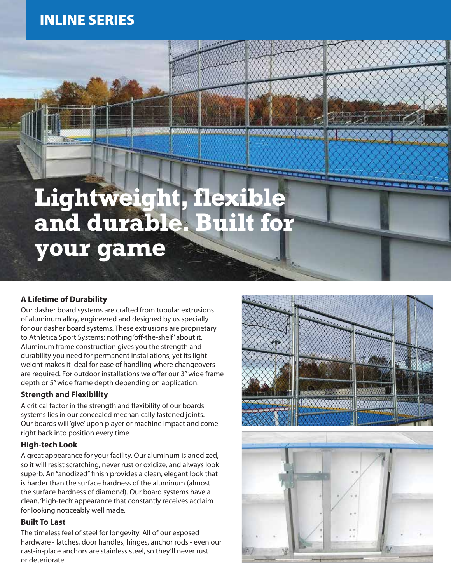## INLINE SERIES

# **Lightweight, flexible and durable. Built for your game**

<u>WWW.WWW</u>

### **A Lifetime of Durability**

Our dasher board systems are crafted from tubular extrusions of aluminum alloy, engineered and designed by us specially for our dasher board systems. These extrusions are proprietary to Athletica Sport Systems; nothing 'off-the-shelf' about it. Aluminum frame construction gives you the strength and durability you need for permanent installations, yet its light weight makes it ideal for ease of handling where changeovers are required. For outdoor installations we offer our 3" wide frame depth or 5" wide frame depth depending on application.

#### **Strength and Flexibility**

A critical factor in the strength and flexibility of our boards systems lies in our concealed mechanically fastened joints. Our boards will 'give' upon player or machine impact and come right back into position every time.

#### **High-tech Look**

A great appearance for your facility. Our aluminum is anodized, so it will resist scratching, never rust or oxidize, and always look superb. An "anodized" finish provides a clean, elegant look that is harder than the surface hardness of the aluminum (almost the surface hardness of diamond). Our board systems have a clean, 'high-tech' appearance that constantly receives acclaim for looking noticeably well made.

#### **Built To Last**

The timeless feel of steel for longevity. All of our exposed hardware - latches, door handles, hinges, anchor rods - even our cast-in-place anchors are stainless steel, so they'll never rust or deteriorate.